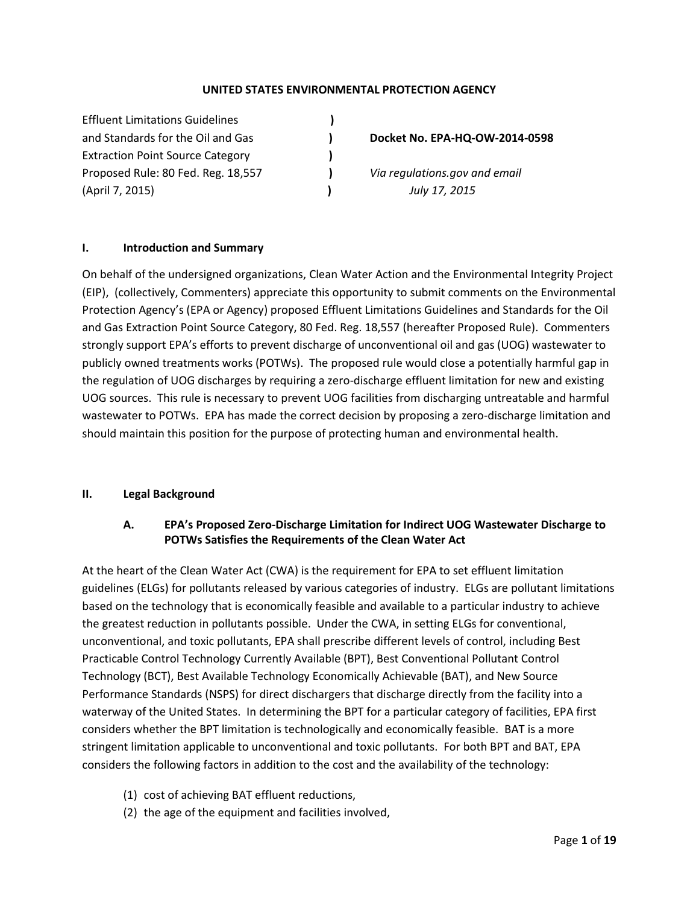#### **UNITED STATES ENVIRONMENTAL PROTECTION AGENCY**

Effluent Limitations Guidelines **)** and Standards for the Oil and Gas **) Docket No. EPA-HQ-OW-2014-0598** Extraction Point Source Category **)** Proposed Rule: 80 Fed. Reg. 18,557 **)** *Via regulations.gov and email*  (April 7, 2015) **)** *July 17, 2015*

#### **I. Introduction and Summary**

On behalf of the undersigned organizations, Clean Water Action and the Environmental Integrity Project (EIP), (collectively, Commenters) appreciate this opportunity to submit comments on the Environmental Protection Agency's (EPA or Agency) proposed Effluent Limitations Guidelines and Standards for the Oil and Gas Extraction Point Source Category, 80 Fed. Reg. 18,557 (hereafter Proposed Rule). Commenters strongly support EPA's efforts to prevent discharge of unconventional oil and gas (UOG) wastewater to publicly owned treatments works (POTWs). The proposed rule would close a potentially harmful gap in the regulation of UOG discharges by requiring a zero-discharge effluent limitation for new and existing UOG sources. This rule is necessary to prevent UOG facilities from discharging untreatable and harmful wastewater to POTWs. EPA has made the correct decision by proposing a zero-discharge limitation and should maintain this position for the purpose of protecting human and environmental health.

#### **II. Legal Background**

## **A. EPA's Proposed Zero-Discharge Limitation for Indirect UOG Wastewater Discharge to POTWs Satisfies the Requirements of the Clean Water Act**

At the heart of the Clean Water Act (CWA) is the requirement for EPA to set effluent limitation guidelines (ELGs) for pollutants released by various categories of industry. ELGs are pollutant limitations based on the technology that is economically feasible and available to a particular industry to achieve the greatest reduction in pollutants possible. Under the CWA, in setting ELGs for conventional, unconventional, and toxic pollutants, EPA shall prescribe different levels of control, including Best Practicable Control Technology Currently Available (BPT), Best Conventional Pollutant Control Technology (BCT), Best Available Technology Economically Achievable (BAT), and New Source Performance Standards (NSPS) for direct dischargers that discharge directly from the facility into a waterway of the United States. In determining the BPT for a particular category of facilities, EPA first considers whether the BPT limitation is technologically and economically feasible. BAT is a more stringent limitation applicable to unconventional and toxic pollutants. For both BPT and BAT, EPA considers the following factors in addition to the cost and the availability of the technology:

- (1) cost of achieving BAT effluent reductions,
- (2) the age of the equipment and facilities involved,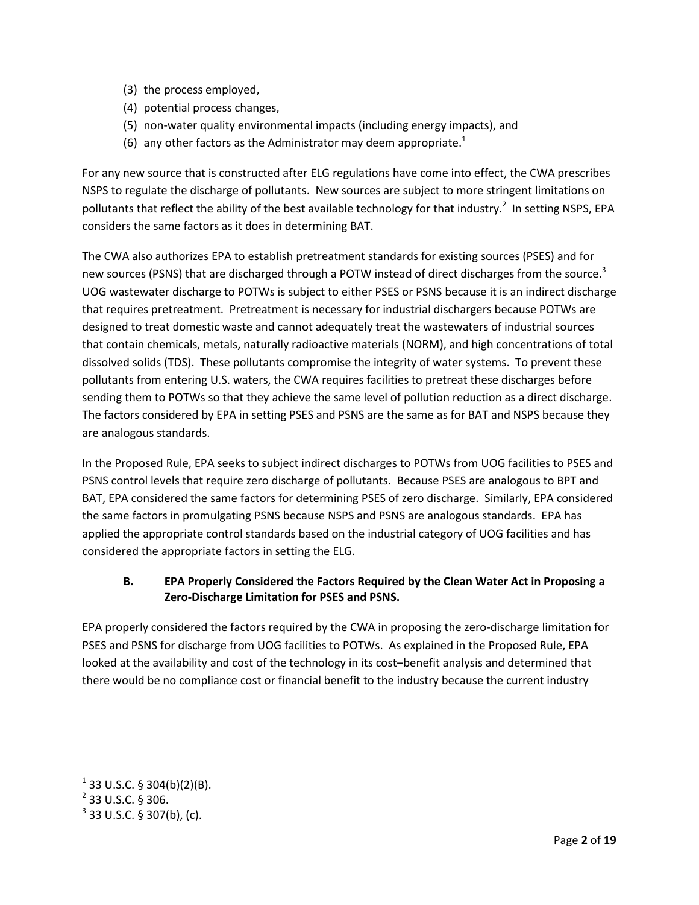- (3) the process employed,
- (4) potential process changes,
- (5) non-water quality environmental impacts (including energy impacts), and
- (6) any other factors as the Administrator may deem appropriate.<sup>1</sup>

For any new source that is constructed after ELG regulations have come into effect, the CWA prescribes NSPS to regulate the discharge of pollutants. New sources are subject to more stringent limitations on pollutants that reflect the ability of the best available technology for that industry.<sup>2</sup> In setting NSPS, EPA considers the same factors as it does in determining BAT.

The CWA also authorizes EPA to establish pretreatment standards for existing sources (PSES) and for new sources (PSNS) that are discharged through a POTW instead of direct discharges from the source.<sup>3</sup> UOG wastewater discharge to POTWs is subject to either PSES or PSNS because it is an indirect discharge that requires pretreatment. Pretreatment is necessary for industrial dischargers because POTWs are designed to treat domestic waste and cannot adequately treat the wastewaters of industrial sources that contain chemicals, metals, naturally radioactive materials (NORM), and high concentrations of total dissolved solids (TDS). These pollutants compromise the integrity of water systems. To prevent these pollutants from entering U.S. waters, the CWA requires facilities to pretreat these discharges before sending them to POTWs so that they achieve the same level of pollution reduction as a direct discharge. The factors considered by EPA in setting PSES and PSNS are the same as for BAT and NSPS because they are analogous standards.

In the Proposed Rule, EPA seeks to subject indirect discharges to POTWs from UOG facilities to PSES and PSNS control levels that require zero discharge of pollutants. Because PSES are analogous to BPT and BAT, EPA considered the same factors for determining PSES of zero discharge. Similarly, EPA considered the same factors in promulgating PSNS because NSPS and PSNS are analogous standards. EPA has applied the appropriate control standards based on the industrial category of UOG facilities and has considered the appropriate factors in setting the ELG.

## **B. EPA Properly Considered the Factors Required by the Clean Water Act in Proposing a Zero-Discharge Limitation for PSES and PSNS.**

EPA properly considered the factors required by the CWA in proposing the zero-discharge limitation for PSES and PSNS for discharge from UOG facilities to POTWs. As explained in the Proposed Rule, EPA looked at the availability and cost of the technology in its cost-benefit analysis and determined that there would be no compliance cost or financial benefit to the industry because the current industry

 $1$  33 U.S.C. § 304(b)(2)(B).

 $2$  33 U.S.C. § 306.

 $3$  33 U.S.C. § 307(b), (c).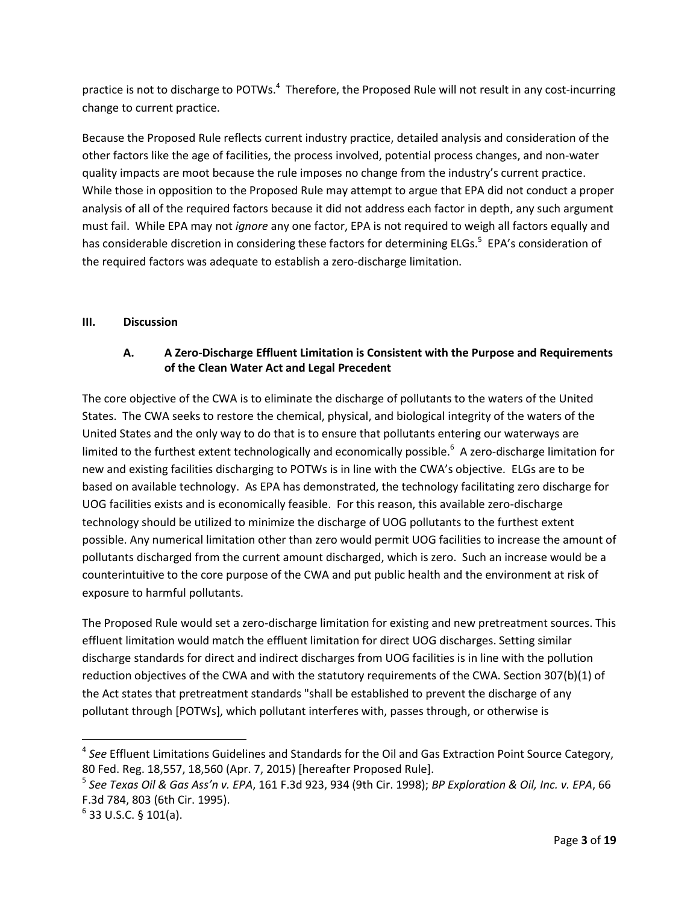practice is not to discharge to POTWs. $<sup>4</sup>$  Therefore, the Proposed Rule will not result in any cost-incurring</sup> change to current practice.

Because the Proposed Rule reflects current industry practice, detailed analysis and consideration of the other factors like the age of facilities, the process involved, potential process changes, and non-water quality impacts are moot because the rule imposes no change from the industry's current practice. While those in opposition to the Proposed Rule may attempt to argue that EPA did not conduct a proper analysis of all of the required factors because it did not address each factor in depth, any such argument must fail. While EPA may not *ignore* any one factor, EPA is not required to weigh all factors equally and has considerable discretion in considering these factors for determining ELGs.<sup>5</sup> EPA's consideration of the required factors was adequate to establish a zero-discharge limitation.

## **III. Discussion**

## **A. A Zero-Discharge Effluent Limitation is Consistent with the Purpose and Requirements of the Clean Water Act and Legal Precedent**

The core objective of the CWA is to eliminate the discharge of pollutants to the waters of the United States. The CWA seeks to restore the chemical, physical, and biological integrity of the waters of the United States and the only way to do that is to ensure that pollutants entering our waterways are limited to the furthest extent technologically and economically possible.<sup>6</sup> A zero-discharge limitation for new and existing facilities discharging to POTWs is in line with the CWA's objective. ELGs are to be based on available technology. As EPA has demonstrated, the technology facilitating zero discharge for UOG facilities exists and is economically feasible. For this reason, this available zero-discharge technology should be utilized to minimize the discharge of UOG pollutants to the furthest extent possible. Any numerical limitation other than zero would permit UOG facilities to increase the amount of pollutants discharged from the current amount discharged, which is zero. Such an increase would be a counterintuitive to the core purpose of the CWA and put public health and the environment at risk of exposure to harmful pollutants.

The Proposed Rule would set a zero-discharge limitation for existing and new pretreatment sources. This effluent limitation would match the effluent limitation for direct UOG discharges. Setting similar discharge standards for direct and indirect discharges from UOG facilities is in line with the pollution reduction objectives of the CWA and with the statutory requirements of the CWA. Section 307(b)(1) of the Act states that pretreatment standards "shall be established to prevent the discharge of any pollutant through [POTWs], which pollutant interferes with, passes through, or otherwise is

<sup>4</sup> *See* Effluent Limitations Guidelines and Standards for the Oil and Gas Extraction Point Source Category, 80 Fed. Reg. 18,557, 18,560 (Apr. 7, 2015) [hereafter Proposed Rule].

<sup>5</sup> *See Texas Oil & Gas Ass'n v. EPA*, 161 F.3d 923, 934 (9th Cir. 1998); *BP Exploration & Oil, Inc. v. EPA*, 66 F.3d 784, 803 (6th Cir. 1995).

 $^6$  33 U.S.C. § 101(a).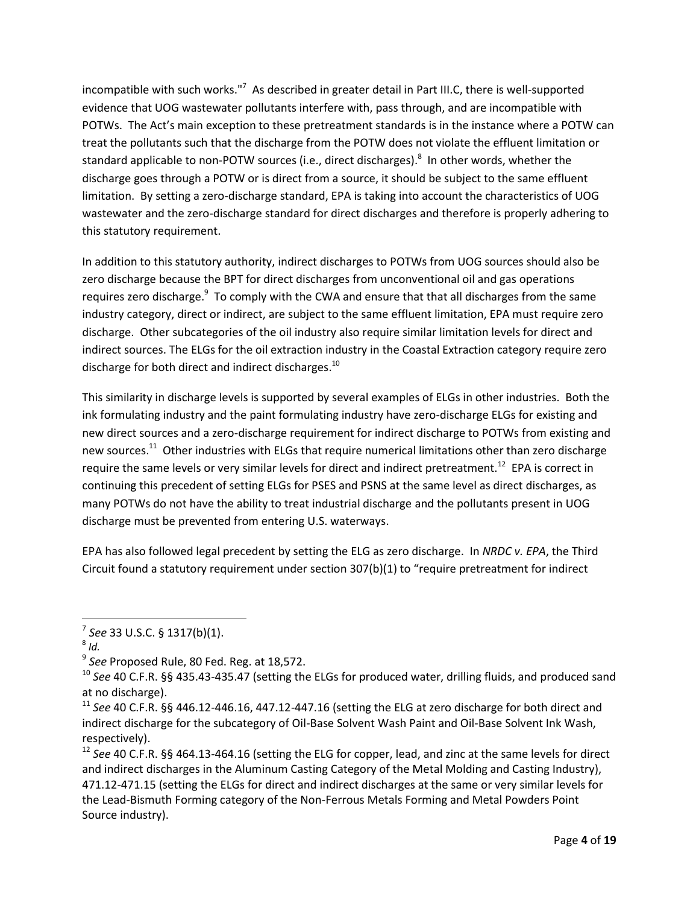incompatible with such works."<sup>7</sup> As described in greater detail in Part III.C, there is well-supported evidence that UOG wastewater pollutants interfere with, pass through, and are incompatible with POTWs. The Act's main exception to these pretreatment standards is in the instance where a POTW can treat the pollutants such that the discharge from the POTW does not violate the effluent limitation or standard applicable to non-POTW sources (i.e., direct discharges).<sup>8</sup> In other words, whether the discharge goes through a POTW or is direct from a source, it should be subject to the same effluent limitation. By setting a zero-discharge standard, EPA is taking into account the characteristics of UOG wastewater and the zero-discharge standard for direct discharges and therefore is properly adhering to this statutory requirement.

In addition to this statutory authority, indirect discharges to POTWs from UOG sources should also be zero discharge because the BPT for direct discharges from unconventional oil and gas operations requires zero discharge.<sup>9</sup> To comply with the CWA and ensure that that all discharges from the same industry category, direct or indirect, are subject to the same effluent limitation, EPA must require zero discharge. Other subcategories of the oil industry also require similar limitation levels for direct and indirect sources. The ELGs for the oil extraction industry in the Coastal Extraction category require zero discharge for both direct and indirect discharges.<sup>10</sup>

This similarity in discharge levels is supported by several examples of ELGs in other industries. Both the ink formulating industry and the paint formulating industry have zero-discharge ELGs for existing and new direct sources and a zero-discharge requirement for indirect discharge to POTWs from existing and new sources.<sup>11</sup> Other industries with ELGs that require numerical limitations other than zero discharge require the same levels or very similar levels for direct and indirect pretreatment.<sup>12</sup> EPA is correct in continuing this precedent of setting ELGs for PSES and PSNS at the same level as direct discharges, as many POTWs do not have the ability to treat industrial discharge and the pollutants present in UOG discharge must be prevented from entering U.S. waterways.

EPA has also followed legal precedent by setting the ELG as zero discharge. In *NRDC v. EPA*, the Third Circuit found a statutory requirement under section 307(b)(1) to "require pretreatment for indirect

<sup>7</sup> *See* 33 U.S.C. § 1317(b)(1).

<sup>8</sup> *Id.*

<sup>9</sup> *See* Proposed Rule, 80 Fed. Reg. at 18,572.

<sup>10</sup> *See* 40 C.F.R. §§ 435.43-435.47 (setting the ELGs for produced water, drilling fluids, and produced sand at no discharge).

<sup>11</sup> *See* 40 C.F.R. §§ 446.12-446.16, 447.12-447.16 (setting the ELG at zero discharge for both direct and indirect discharge for the subcategory of Oil-Base Solvent Wash Paint and Oil-Base Solvent Ink Wash, respectively).

<sup>12</sup> *See* 40 C.F.R. §§ 464.13-464.16 (setting the ELG for copper, lead, and zinc at the same levels for direct and indirect discharges in the Aluminum Casting Category of the Metal Molding and Casting Industry), 471.12-471.15 (setting the ELGs for direct and indirect discharges at the same or very similar levels for the Lead-Bismuth Forming category of the Non-Ferrous Metals Forming and Metal Powders Point Source industry).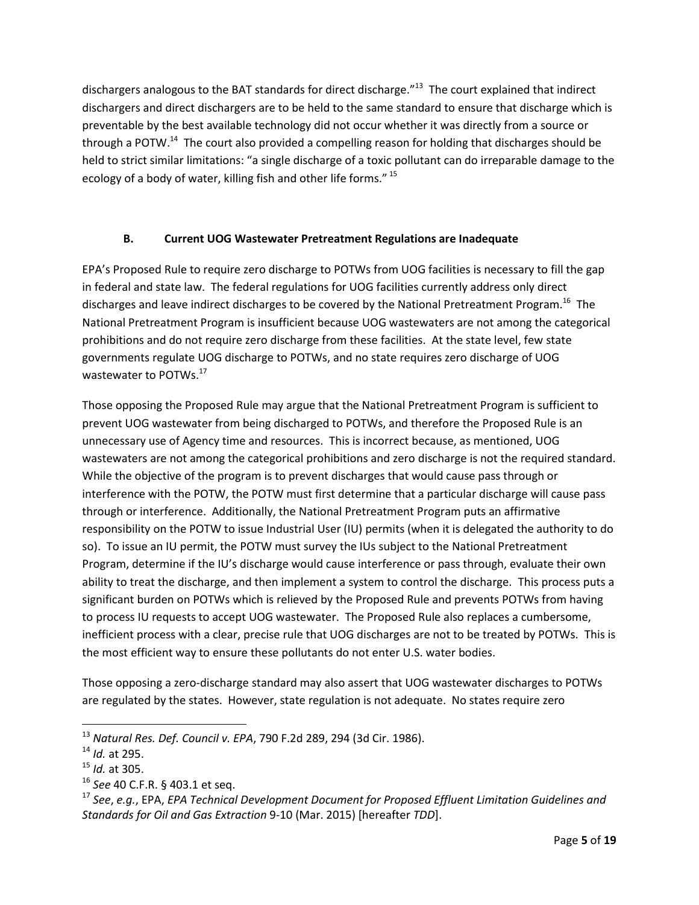dischargers analogous to the BAT standards for direct discharge."<sup>13</sup> The court explained that indirect dischargers and direct dischargers are to be held to the same standard to ensure that discharge which is preventable by the best available technology did not occur whether it was directly from a source or through a POTW.<sup>14</sup> The court also provided a compelling reason for holding that discharges should be held to strict similar limitations: "a single discharge of a toxic pollutant can do irreparable damage to the ecology of a body of water, killing fish and other life forms."<sup>15</sup>

## **B. Current UOG Wastewater Pretreatment Regulations are Inadequate**

EPA's Proposed Rule to require zero discharge to POTWs from UOG facilities is necessary to fill the gap in federal and state law. The federal regulations for UOG facilities currently address only direct discharges and leave indirect discharges to be covered by the National Pretreatment Program.<sup>16</sup> The National Pretreatment Program is insufficient because UOG wastewaters are not among the categorical prohibitions and do not require zero discharge from these facilities. At the state level, few state governments regulate UOG discharge to POTWs, and no state requires zero discharge of UOG wastewater to POTWs.<sup>17</sup>

<span id="page-4-0"></span>Those opposing the Proposed Rule may argue that the National Pretreatment Program is sufficient to prevent UOG wastewater from being discharged to POTWs, and therefore the Proposed Rule is an unnecessary use of Agency time and resources. This is incorrect because, as mentioned, UOG wastewaters are not among the categorical prohibitions and zero discharge is not the required standard. While the objective of the program is to prevent discharges that would cause pass through or interference with the POTW, the POTW must first determine that a particular discharge will cause pass through or interference. Additionally, the National Pretreatment Program puts an affirmative responsibility on the POTW to issue Industrial User (IU) permits (when it is delegated the authority to do so). To issue an IU permit, the POTW must survey the IUs subject to the National Pretreatment Program, determine if the IU's discharge would cause interference or pass through, evaluate their own ability to treat the discharge, and then implement a system to control the discharge. This process puts a significant burden on POTWs which is relieved by the Proposed Rule and prevents POTWs from having to process IU requests to accept UOG wastewater. The Proposed Rule also replaces a cumbersome, inefficient process with a clear, precise rule that UOG discharges are not to be treated by POTWs. This is the most efficient way to ensure these pollutants do not enter U.S. water bodies.

Those opposing a zero-discharge standard may also assert that UOG wastewater discharges to POTWs are regulated by the states. However, state regulation is not adequate. No states require zero

<sup>13</sup> *Natural Res. Def. Council v. EPA*, 790 F.2d 289, 294 (3d Cir. 1986).

<sup>14</sup> *Id.* at 295.

<sup>15</sup> *Id.* at 305.

<sup>16</sup> *See* 40 C.F.R. § 403.1 et seq.

<sup>17</sup> *See*, *e.g.*, EPA, *EPA Technical Development Document for Proposed Effluent Limitation Guidelines and Standards for Oil and Gas Extraction* 9-10 (Mar. 2015) [hereafter *TDD*].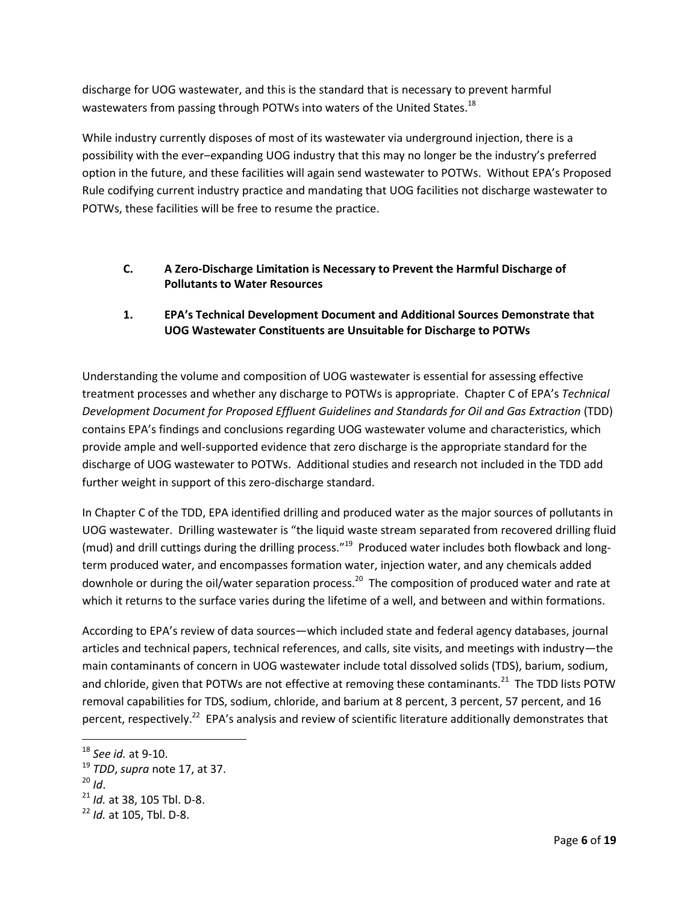discharge for UOG wastewater, and this is the standard that is necessary to prevent harmful wastewaters from passing through POTWs into waters of the United States.<sup>18</sup>

While industry currently disposes of most of its wastewater via underground injection, there is a possibility with the ever–expanding UOG industry that this may no longer be the industry's preferred option in the future, and these facilities will again send wastewater to POTWs. Without EPA's Proposed Rule codifying current industry practice and mandating that UOG facilities not discharge wastewater to POTWs, these facilities will be free to resume the practice.

## **C. A Zero-Discharge Limitation is Necessary to Prevent the Harmful Discharge of Pollutants to Water Resources**

## **1. EPA's Technical Development Document and Additional Sources Demonstrate that UOG Wastewater Constituents are Unsuitable for Discharge to POTWs**

Understanding the volume and composition of UOG wastewater is essential for assessing effective treatment processes and whether any discharge to POTWs is appropriate. Chapter C of EPA's *Technical Development Document for Proposed Effluent Guidelines and Standards for Oil and Gas Extraction* (TDD) contains EPA's findings and conclusions regarding UOG wastewater volume and characteristics, which provide ample and well-supported evidence that zero discharge is the appropriate standard for the discharge of UOG wastewater to POTWs. Additional studies and research not included in the TDD add further weight in support of this zero-discharge standard.

In Chapter C of the TDD, EPA identified drilling and produced water as the major sources of pollutants in UOG wastewater. Drilling wastewater is "the liquid waste stream separated from recovered drilling fluid (mud) and drill cuttings during the drilling process."<sup>19</sup> Produced water includes both flowback and longterm produced water, and encompasses formation water, injection water, and any chemicals added downhole or during the oil/water separation process.<sup>20</sup> The composition of produced water and rate at which it returns to the surface varies during the lifetime of a well, and between and within formations.

According to EPA's review of data sources—which included state and federal agency databases, journal articles and technical papers, technical references, and calls, site visits, and meetings with industry—the main contaminants of concern in UOG wastewater include total dissolved solids (TDS), barium, sodium, and chloride, given that POTWs are not effective at removing these contaminants.<sup>21</sup> The TDD lists POTW removal capabilities for TDS, sodium, chloride, and barium at 8 percent, 3 percent, 57 percent, and 16 percent, respectively.<sup>22</sup> EPA's analysis and review of scientific literature additionally demonstrates that

<sup>18</sup> *See id.* at 9-10.

<sup>19</sup> *TDD*, *supra* note [17,](#page-4-0) at 37.

 $^{20}$  *Id.* 

<sup>21</sup> *Id.* at 38, 105 Tbl. D-8.

<sup>22</sup> *Id.* at 105, Tbl. D-8.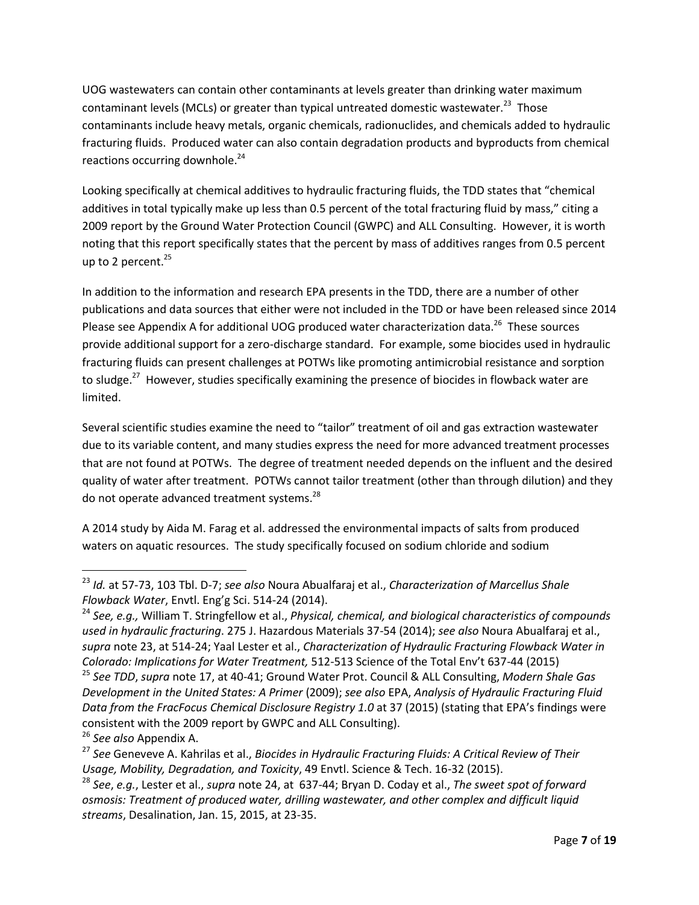<span id="page-6-0"></span>UOG wastewaters can contain other contaminants at levels greater than drinking water maximum contaminant levels (MCLs) or greater than typical untreated domestic wastewater.<sup>23</sup> Those contaminants include heavy metals, organic chemicals, radionuclides, and chemicals added to hydraulic fracturing fluids. Produced water can also contain degradation products and byproducts from chemical reactions occurring downhole.<sup>24</sup>

<span id="page-6-1"></span>Looking specifically at chemical additives to hydraulic fracturing fluids, the TDD states that "chemical additives in total typically make up less than 0.5 percent of the total fracturing fluid by mass," citing a 2009 report by the Ground Water Protection Council (GWPC) and ALL Consulting. However, it is worth noting that this report specifically states that the percent by mass of additives ranges from 0.5 percent up to 2 percent. $^{25}$ 

In addition to the information and research EPA presents in the TDD, there are a number of other publications and data sources that either were not included in the TDD or have been released since 2014 Please see Appendix A for additional UOG produced water characterization data.<sup>26</sup> These sources provide additional support for a zero-discharge standard. For example, some biocides used in hydraulic fracturing fluids can present challenges at POTWs like promoting antimicrobial resistance and sorption to sludge.<sup>27</sup> However, studies specifically examining the presence of biocides in flowback water are limited.

Several scientific studies examine the need to "tailor" treatment of oil and gas extraction wastewater due to its variable content, and many studies express the need for more advanced treatment processes that are not found at POTWs. The degree of treatment needed depends on the influent and the desired quality of water after treatment. POTWs cannot tailor treatment (other than through dilution) and they do not operate advanced treatment systems.<sup>28</sup>

A 2014 study by Aida M. Farag et al. addressed the environmental impacts of salts from produced waters on aquatic resources. The study specifically focused on sodium chloride and sodium

<sup>23</sup> *Id.* at 57-73, 103 Tbl. D-7; *see also* Noura Abualfaraj et al., *Characterization of Marcellus Shale Flowback Water*, Envtl. Eng'g Sci. 514-24 (2014).

<sup>24</sup> *See, e.g.,* William T. Stringfellow et al., *Physical, chemical, and biological characteristics of compounds used in hydraulic fracturing*. 275 J. Hazardous Materials 37-54 (2014); *see also* Noura Abualfaraj et al., *supra* not[e 23,](#page-6-0) at 514-24; Yaal Lester et al., *Characterization of Hydraulic Fracturing Flowback Water in Colorado: Implications for Water Treatment,* 512-513 Science of the Total Env't 637-44 (2015)

<sup>25</sup> *See TDD*, *supra* note [17,](#page-4-0) at 40-41; Ground Water Prot. Council & ALL Consulting, *Modern Shale Gas Development in the United States: A Primer* (2009); *see also* EPA, *Analysis of Hydraulic Fracturing Fluid Data from the FracFocus Chemical Disclosure Registry 1.0* at 37 (2015) (stating that EPA's findings were consistent with the 2009 report by GWPC and ALL Consulting).

<sup>26</sup> *See also* Appendix A.

<sup>27</sup> *See* Geneveve A. Kahrilas et al., *Biocides in Hydraulic Fracturing Fluids: A Critical Review of Their Usage, Mobility, Degradation, and Toxicity*, 49 Envtl. Science & Tech. 16-32 (2015).

<sup>28</sup> *See*, *e.g.*, Lester et al., *supra* note [24,](#page-6-1) at 637-44; Bryan D. Coday et al., *The sweet spot of forward osmosis: Treatment of produced water, drilling wastewater, and other complex and difficult liquid streams*, Desalination, Jan. 15, 2015, at 23-35.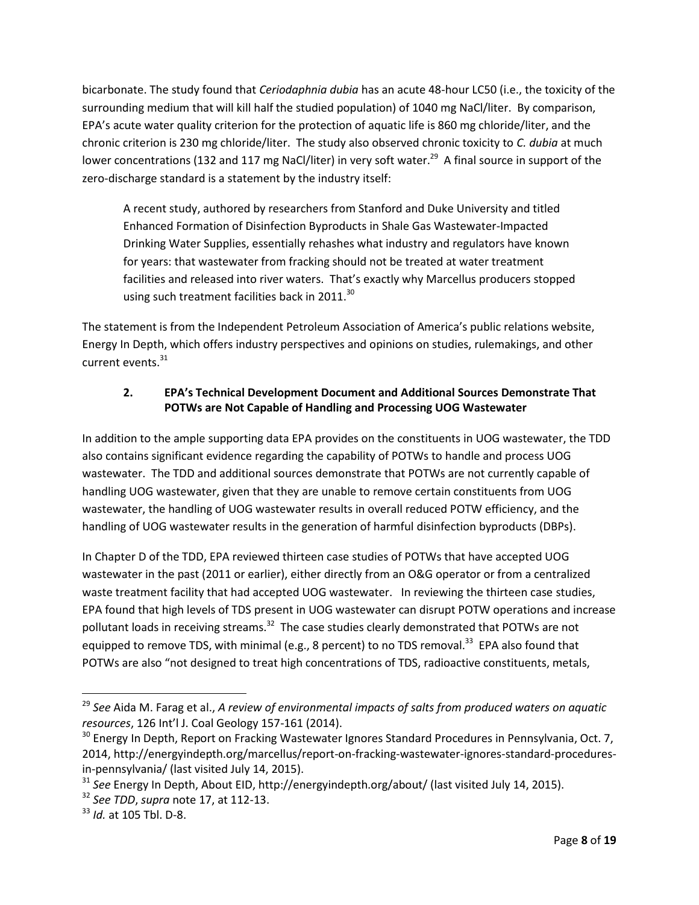bicarbonate. The study found that *Ceriodaphnia dubia* has an acute 48-hour LC50 (i.e., the toxicity of the surrounding medium that will kill half the studied population) of 1040 mg NaCl/liter. By comparison, EPA's acute water quality criterion for the protection of aquatic life is 860 mg chloride/liter, and the chronic criterion is 230 mg chloride/liter. The study also observed chronic toxicity to *C. dubia* at much lower concentrations (132 and 117 mg NaCl/liter) in very soft water.<sup>29</sup> A final source in support of the zero-discharge standard is a statement by the industry itself:

A recent study, authored by researchers from Stanford and Duke University and titled Enhanced Formation of Disinfection Byproducts in Shale Gas Wastewater-Impacted Drinking Water Supplies, essentially rehashes what industry and regulators have known for years: that wastewater from fracking should not be treated at water treatment facilities and released into river waters. That's exactly why Marcellus producers stopped using such treatment facilities back in 2011. $^{30}$ 

The statement is from the Independent Petroleum Association of America's public relations website, Energy In Depth, which offers industry perspectives and opinions on studies, rulemakings, and other current events.<sup>31</sup>

# **2. EPA's Technical Development Document and Additional Sources Demonstrate That POTWs are Not Capable of Handling and Processing UOG Wastewater**

In addition to the ample supporting data EPA provides on the constituents in UOG wastewater, the TDD also contains significant evidence regarding the capability of POTWs to handle and process UOG wastewater. The TDD and additional sources demonstrate that POTWs are not currently capable of handling UOG wastewater, given that they are unable to remove certain constituents from UOG wastewater, the handling of UOG wastewater results in overall reduced POTW efficiency, and the handling of UOG wastewater results in the generation of harmful disinfection byproducts (DBPs).

In Chapter D of the TDD, EPA reviewed thirteen case studies of POTWs that have accepted UOG wastewater in the past (2011 or earlier), either directly from an O&G operator or from a centralized waste treatment facility that had accepted UOG wastewater. In reviewing the thirteen case studies, EPA found that high levels of TDS present in UOG wastewater can disrupt POTW operations and increase pollutant loads in receiving streams.<sup>32</sup> The case studies clearly demonstrated that POTWs are not equipped to remove TDS, with minimal (e.g., 8 percent) to no TDS removal.<sup>33</sup> EPA also found that POTWs are also "not designed to treat high concentrations of TDS, radioactive constituents, metals,

<sup>29</sup> *See* Aida M. Farag et al., *A review of environmental impacts of salts from produced waters on aquatic resources*, 126 Int'l J. Coal Geology 157-161 (2014).

 $30$  Energy In Depth, Report on Fracking Wastewater Ignores Standard Procedures in Pennsylvania, Oct. 7, 2014, http://energyindepth.org/marcellus/report-on-fracking-wastewater-ignores-standard-proceduresin-pennsylvania/ (last visited July 14, 2015).

<sup>31</sup> *See* Energy In Depth, About EID, http://energyindepth.org/about/ (last visited July 14, 2015).

<sup>32</sup> *See TDD*, *supra* note [17,](#page-4-0) at 112-13.

<sup>33</sup> *Id.* at 105 Tbl. D-8.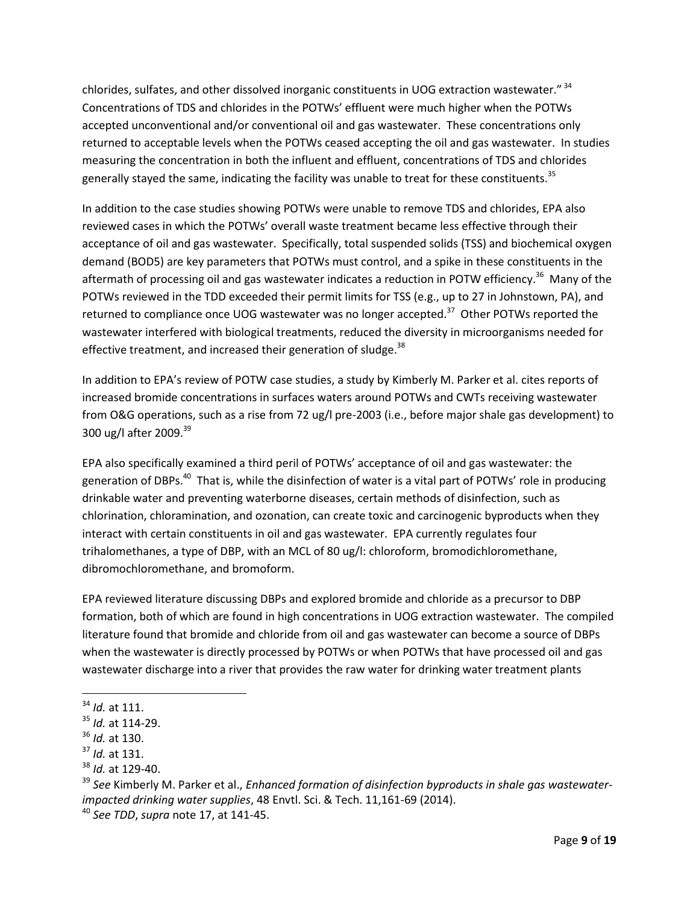chlorides, sulfates, and other dissolved inorganic constituents in UOG extraction wastewater."  $^{34}$ Concentrations of TDS and chlorides in the POTWs' effluent were much higher when the POTWs accepted unconventional and/or conventional oil and gas wastewater. These concentrations only returned to acceptable levels when the POTWs ceased accepting the oil and gas wastewater. In studies measuring the concentration in both the influent and effluent, concentrations of TDS and chlorides generally stayed the same, indicating the facility was unable to treat for these constituents.<sup>35</sup>

In addition to the case studies showing POTWs were unable to remove TDS and chlorides, EPA also reviewed cases in which the POTWs' overall waste treatment became less effective through their acceptance of oil and gas wastewater. Specifically, total suspended solids (TSS) and biochemical oxygen demand (BOD5) are key parameters that POTWs must control, and a spike in these constituents in the aftermath of processing oil and gas wastewater indicates a reduction in POTW efficiency.<sup>36</sup> Many of the POTWs reviewed in the TDD exceeded their permit limits for TSS (e.g., up to 27 in Johnstown, PA), and returned to compliance once UOG wastewater was no longer accepted.<sup>37</sup> Other POTWs reported the wastewater interfered with biological treatments, reduced the diversity in microorganisms needed for effective treatment, and increased their generation of sludge.<sup>38</sup>

In addition to EPA's review of POTW case studies, a study by Kimberly M. Parker et al. cites reports of increased bromide concentrations in surfaces waters around POTWs and CWTs receiving wastewater from O&G operations, such as a rise from 72 ug/l pre-2003 (i.e., before major shale gas development) to 300 ug/l after 2009.<sup>39</sup>

EPA also specifically examined a third peril of POTWs' acceptance of oil and gas wastewater: the generation of DBPs.<sup>40</sup> That is, while the disinfection of water is a vital part of POTWs' role in producing drinkable water and preventing waterborne diseases, certain methods of disinfection, such as chlorination, chloramination, and ozonation, can create toxic and carcinogenic byproducts when they interact with certain constituents in oil and gas wastewater. EPA currently regulates four trihalomethanes, a type of DBP, with an MCL of 80 ug/l: chloroform, bromodichloromethane, dibromochloromethane, and bromoform.

EPA reviewed literature discussing DBPs and explored bromide and chloride as a precursor to DBP formation, both of which are found in high concentrations in UOG extraction wastewater. The compiled literature found that bromide and chloride from oil and gas wastewater can become a source of DBPs when the wastewater is directly processed by POTWs or when POTWs that have processed oil and gas wastewater discharge into a river that provides the raw water for drinking water treatment plants

<sup>34</sup> *Id.* at 111.

<sup>35</sup> *Id.* at 114-29.

<sup>36</sup> *Id.* at 130.

<sup>37</sup> *Id.* at 131.

<sup>38</sup> *Id.* at 129-40.

<sup>39</sup> *See* Kimberly M. Parker et al., *Enhanced formation of disinfection byproducts in shale gas wastewaterimpacted drinking water supplies*, 48 Envtl. Sci. & Tech. 11,161-69 (2014).

<sup>40</sup> *See TDD*, *supra* note [17,](#page-4-0) at 141-45.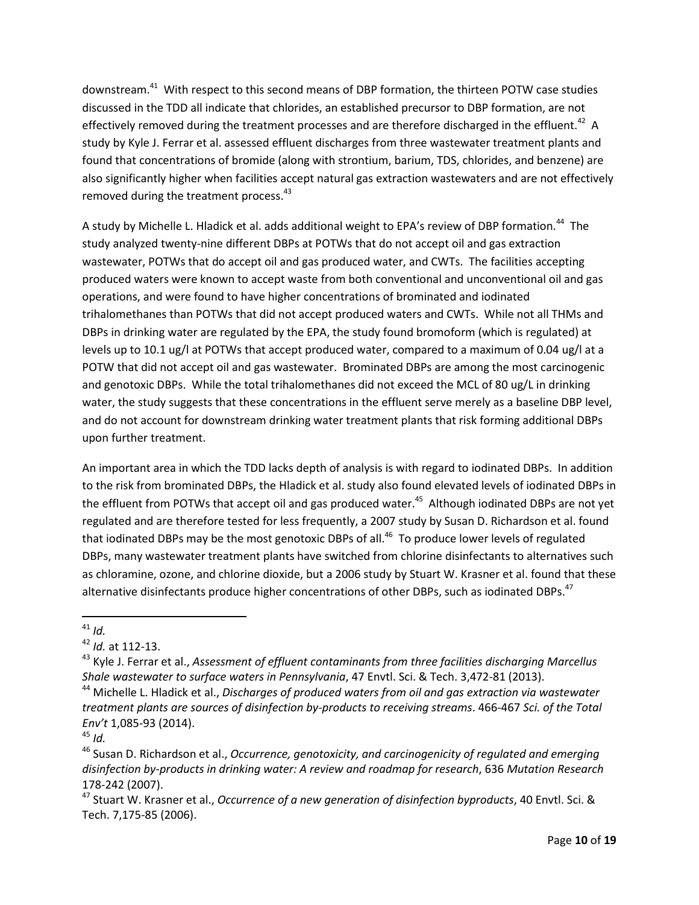downstream.<sup>41</sup> With respect to this second means of DBP formation, the thirteen POTW case studies discussed in the TDD all indicate that chlorides, an established precursor to DBP formation, are not effectively removed during the treatment processes and are therefore discharged in the effluent.<sup>42</sup> A study by Kyle J. Ferrar et al. assessed effluent discharges from three wastewater treatment plants and found that concentrations of bromide (along with strontium, barium, TDS, chlorides, and benzene) are also significantly higher when facilities accept natural gas extraction wastewaters and are not effectively removed during the treatment process.<sup>43</sup>

A study by Michelle L. Hladick et al. adds additional weight to EPA's review of DBP formation.<sup>44</sup> The study analyzed twenty-nine different DBPs at POTWs that do not accept oil and gas extraction wastewater, POTWs that do accept oil and gas produced water, and CWTs. The facilities accepting produced waters were known to accept waste from both conventional and unconventional oil and gas operations, and were found to have higher concentrations of brominated and iodinated trihalomethanes than POTWs that did not accept produced waters and CWTs. While not all THMs and DBPs in drinking water are regulated by the EPA, the study found bromoform (which is regulated) at levels up to 10.1 ug/l at POTWs that accept produced water, compared to a maximum of 0.04 ug/l at a POTW that did not accept oil and gas wastewater. Brominated DBPs are among the most carcinogenic and genotoxic DBPs. While the total trihalomethanes did not exceed the MCL of 80 ug/L in drinking water, the study suggests that these concentrations in the effluent serve merely as a baseline DBP level, and do not account for downstream drinking water treatment plants that risk forming additional DBPs upon further treatment.

An important area in which the TDD lacks depth of analysis is with regard to iodinated DBPs. In addition to the risk from brominated DBPs, the Hladick et al. study also found elevated levels of iodinated DBPs in the effluent from POTWs that accept oil and gas produced water.<sup>45</sup> Although iodinated DBPs are not yet regulated and are therefore tested for less frequently, a 2007 study by Susan D. Richardson et al. found that iodinated DBPs may be the most genotoxic DBPs of all.<sup>46</sup> To produce lower levels of regulated DBPs, many wastewater treatment plants have switched from chlorine disinfectants to alternatives such as chloramine, ozone, and chlorine dioxide, but a 2006 study by Stuart W. Krasner et al. found that these alternative disinfectants produce higher concentrations of other DBPs, such as iodinated DBPs.<sup>47</sup>

 $\overline{a}$  $41$  *Id.* 

<sup>42</sup> *Id.* at 112-13.

<sup>43</sup> Kyle J. Ferrar et al., *Assessment of effluent contaminants from three facilities discharging Marcellus Shale wastewater to surface waters in Pennsylvania*, 47 Envtl. Sci. & Tech. 3,472-81 (2013).

<sup>44</sup> Michelle L. Hladick et al., *Discharges of produced waters from oil and gas extraction via wastewater treatment plants are sources of disinfection by-products to receiving streams*. 466-467 *Sci. of the Total Env't* 1,085-93 (2014).

 $45$  *Id.* 

<sup>46</sup> Susan D. Richardson et al., *Occurrence, genotoxicity, and carcinogenicity of regulated and emerging disinfection by-products in drinking water: A review and roadmap for research*, 636 *Mutation Research* 178-242 (2007).

<sup>47</sup> Stuart W. Krasner et al., *Occurrence of a new generation of disinfection byproducts*, 40 Envtl. Sci. & Tech. 7,175-85 (2006).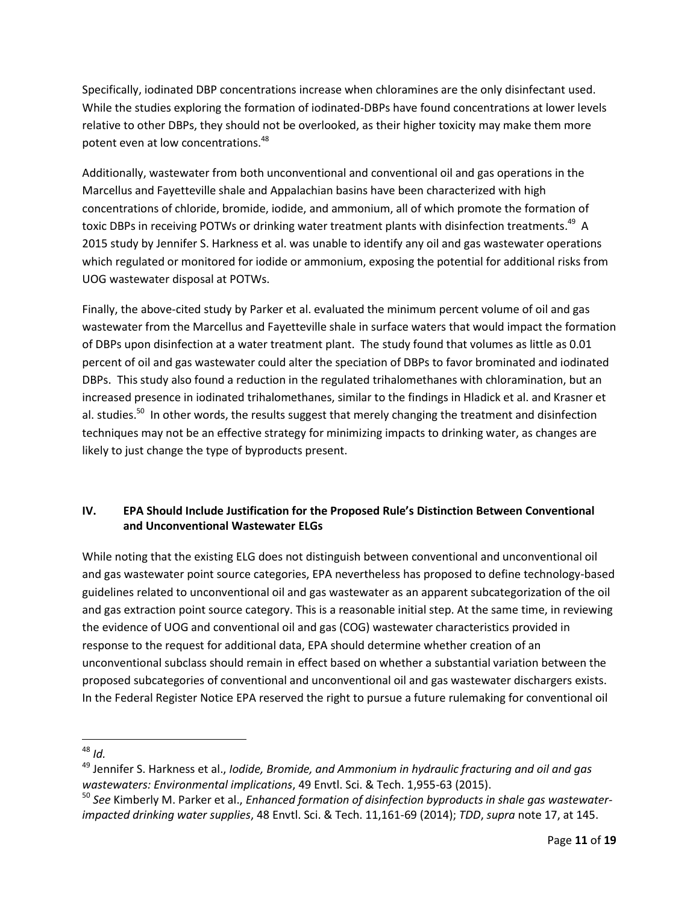Specifically, iodinated DBP concentrations increase when chloramines are the only disinfectant used. While the studies exploring the formation of iodinated-DBPs have found concentrations at lower levels relative to other DBPs, they should not be overlooked, as their higher toxicity may make them more potent even at low concentrations.<sup>48</sup>

<span id="page-10-0"></span>Additionally, wastewater from both unconventional and conventional oil and gas operations in the Marcellus and Fayetteville shale and Appalachian basins have been characterized with high concentrations of chloride, bromide, iodide, and ammonium, all of which promote the formation of toxic DBPs in receiving POTWs or drinking water treatment plants with disinfection treatments.<sup>49</sup> A 2015 study by Jennifer S. Harkness et al. was unable to identify any oil and gas wastewater operations which regulated or monitored for iodide or ammonium, exposing the potential for additional risks from UOG wastewater disposal at POTWs.

Finally, the above-cited study by Parker et al. evaluated the minimum percent volume of oil and gas wastewater from the Marcellus and Fayetteville shale in surface waters that would impact the formation of DBPs upon disinfection at a water treatment plant. The study found that volumes as little as 0.01 percent of oil and gas wastewater could alter the speciation of DBPs to favor brominated and iodinated DBPs. This study also found a reduction in the regulated trihalomethanes with chloramination, but an increased presence in iodinated trihalomethanes, similar to the findings in Hladick et al. and Krasner et al. studies.<sup>50</sup> In other words, the results suggest that merely changing the treatment and disinfection techniques may not be an effective strategy for minimizing impacts to drinking water, as changes are likely to just change the type of byproducts present.

## **IV. EPA Should Include Justification for the Proposed Rule's Distinction Between Conventional and Unconventional Wastewater ELGs**

While noting that the existing ELG does not distinguish between conventional and unconventional oil and gas wastewater point source categories, EPA nevertheless has proposed to define technology-based guidelines related to unconventional oil and gas wastewater as an apparent subcategorization of the oil and gas extraction point source category. This is a reasonable initial step. At the same time, in reviewing the evidence of UOG and conventional oil and gas (COG) wastewater characteristics provided in response to the request for additional data, EPA should determine whether creation of an unconventional subclass should remain in effect based on whether a substantial variation between the proposed subcategories of conventional and unconventional oil and gas wastewater dischargers exists. In the Federal Register Notice EPA reserved the right to pursue a future rulemaking for conventional oil

 $\overline{a}$ <sup>48</sup> *Id.*

<sup>49</sup> Jennifer S. Harkness et al., *Iodide, Bromide, and Ammonium in hydraulic fracturing and oil and gas wastewaters: Environmental implications*, 49 Envtl. Sci. & Tech. 1,955-63 (2015).

<sup>50</sup> *See* Kimberly M. Parker et al., *Enhanced formation of disinfection byproducts in shale gas wastewaterimpacted drinking water supplies*, 48 Envtl. Sci. & Tech. 11,161-69 (2014); *TDD*, *supra* note [17,](#page-4-0) at 145.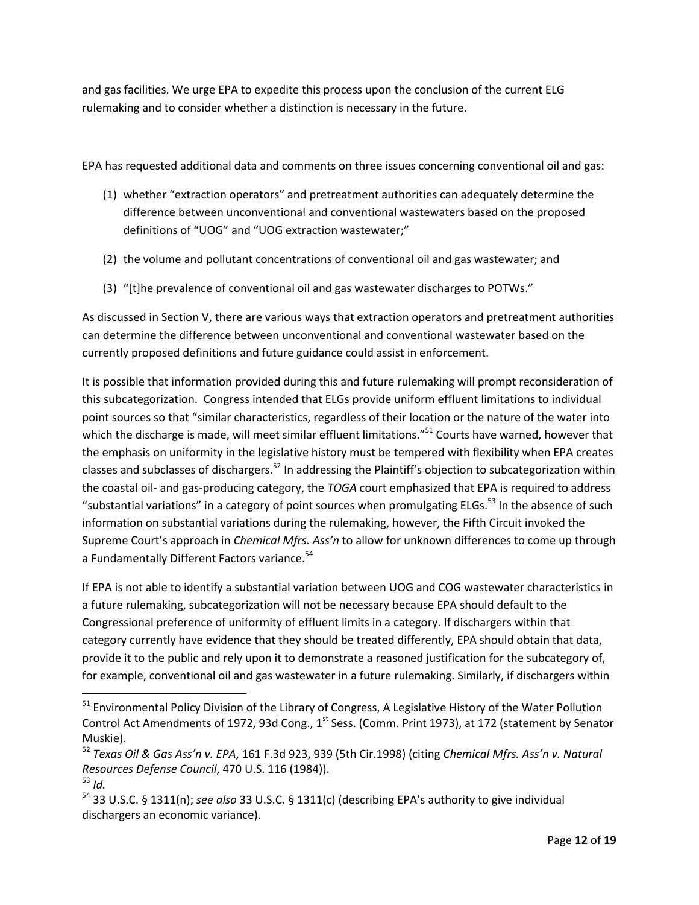and gas facilities. We urge EPA to expedite this process upon the conclusion of the current ELG rulemaking and to consider whether a distinction is necessary in the future.

EPA has requested additional data and comments on three issues concerning conventional oil and gas:

- (1) whether "extraction operators" and pretreatment authorities can adequately determine the difference between unconventional and conventional wastewaters based on the proposed definitions of "UOG" and "UOG extraction wastewater;"
- (2) the volume and pollutant concentrations of conventional oil and gas wastewater; and
- (3) "[t]he prevalence of conventional oil and gas wastewater discharges to POTWs."

As discussed in Section V, there are various ways that extraction operators and pretreatment authorities can determine the difference between unconventional and conventional wastewater based on the currently proposed definitions and future guidance could assist in enforcement.

It is possible that information provided during this and future rulemaking will prompt reconsideration of this subcategorization. Congress intended that ELGs provide uniform effluent limitations to individual point sources so that "similar characteristics, regardless of their location or the nature of the water into which the discharge is made, will meet similar effluent limitations."<sup>51</sup> Courts have warned, however that the emphasis on uniformity in the legislative history must be tempered with flexibility when EPA creates classes and subclasses of dischargers.<sup>52</sup> In addressing the Plaintiff's objection to subcategorization within the coastal oil- and gas-producing category, the *TOGA* court emphasized that EPA is required to address "substantial variations" in a category of point sources when promulgating ELGs.<sup>53</sup> In the absence of such information on substantial variations during the rulemaking, however, the Fifth Circuit invoked the Supreme Court's approach in *Chemical Mfrs. Ass'n* to allow for unknown differences to come up through a Fundamentally Different Factors variance.<sup>54</sup>

If EPA is not able to identify a substantial variation between UOG and COG wastewater characteristics in a future rulemaking, subcategorization will not be necessary because EPA should default to the Congressional preference of uniformity of effluent limits in a category. If dischargers within that category currently have evidence that they should be treated differently, EPA should obtain that data, provide it to the public and rely upon it to demonstrate a reasoned justification for the subcategory of, for example, conventional oil and gas wastewater in a future rulemaking. Similarly, if dischargers within

<sup>&</sup>lt;sup>51</sup> Environmental Policy Division of the Library of Congress, A Legislative History of the Water Pollution Control Act Amendments of 1972, 93d Cong., 1<sup>st</sup> Sess. (Comm. Print 1973), at 172 (statement by Senator Muskie).

<sup>52</sup> *Texas Oil & Gas Ass'n v. EPA*, 161 F.3d 923, 939 (5th Cir.1998) (citing *Chemical Mfrs. Ass'n v. Natural Resources Defense Council*, 470 U.S. 116 (1984)).

<sup>53</sup> *Id.*

<sup>54</sup> 33 U.S.C. § 1311(n); *see also* 33 U.S.C. § 1311(c) (describing EPA's authority to give individual dischargers an economic variance).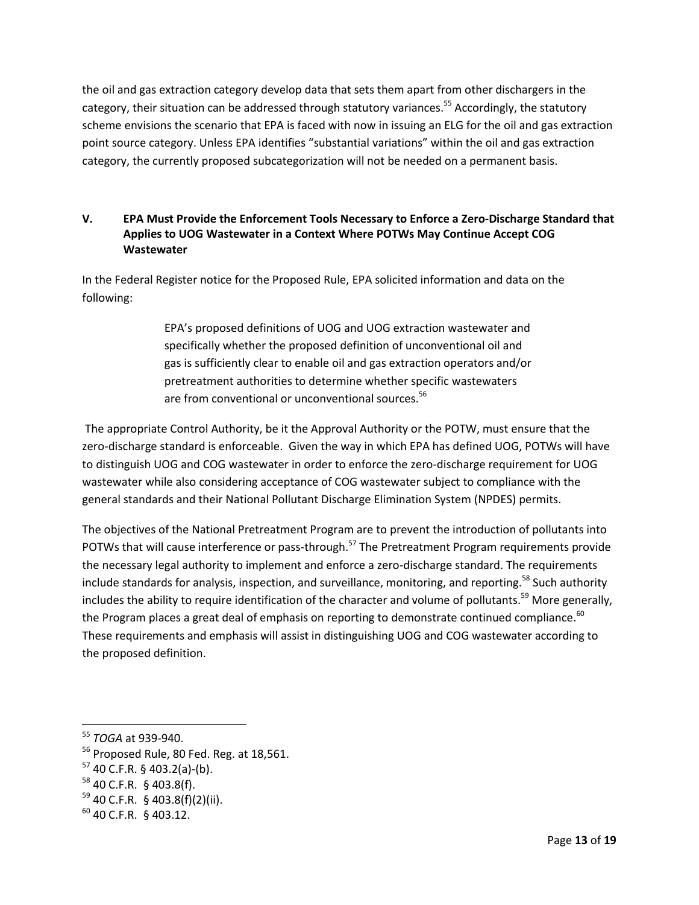the oil and gas extraction category develop data that sets them apart from other dischargers in the category, their situation can be addressed through statutory variances.<sup>55</sup> Accordingly, the statutory scheme envisions the scenario that EPA is faced with now in issuing an ELG for the oil and gas extraction point source category. Unless EPA identifies "substantial variations" within the oil and gas extraction category, the currently proposed subcategorization will not be needed on a permanent basis.

## **V. EPA Must Provide the Enforcement Tools Necessary to Enforce a Zero-Discharge Standard that Applies to UOG Wastewater in a Context Where POTWs May Continue Accept COG Wastewater**

In the Federal Register notice for the Proposed Rule, EPA solicited information and data on the following:

> EPA's proposed definitions of UOG and UOG extraction wastewater and specifically whether the proposed definition of unconventional oil and gas is sufficiently clear to enable oil and gas extraction operators and/or pretreatment authorities to determine whether specific wastewaters are from conventional or unconventional sources.<sup>56</sup>

The appropriate Control Authority, be it the Approval Authority or the POTW, must ensure that the zero-discharge standard is enforceable. Given the way in which EPA has defined UOG, POTWs will have to distinguish UOG and COG wastewater in order to enforce the zero-discharge requirement for UOG wastewater while also considering acceptance of COG wastewater subject to compliance with the general standards and their National Pollutant Discharge Elimination System (NPDES) permits.

The objectives of the National Pretreatment Program are to prevent the introduction of pollutants into POTWs that will cause interference or pass-through.<sup>57</sup> The Pretreatment Program requirements provide the necessary legal authority to implement and enforce a zero-discharge standard. The requirements include standards for analysis, inspection, and surveillance, monitoring, and reporting.<sup>58</sup> Such authority includes the ability to require identification of the character and volume of pollutants.<sup>59</sup> More generally, the Program places a great deal of emphasis on reporting to demonstrate continued compliance. $60$ These requirements and emphasis will assist in distinguishing UOG and COG wastewater according to the proposed definition.

<sup>55</sup> *TOGA* at 939-940.

<sup>&</sup>lt;sup>56</sup> Proposed Rule, 80 Fed. Reg. at 18,561.

 $57$  40 C.F.R. § 403.2(a)-(b).

<sup>58</sup> 40 C.F.R. § 403.8(f).

 $59$  40 C.F.R. § 403.8(f)(2)(ii).

<sup>60</sup> 40 C.F.R. § 403.12.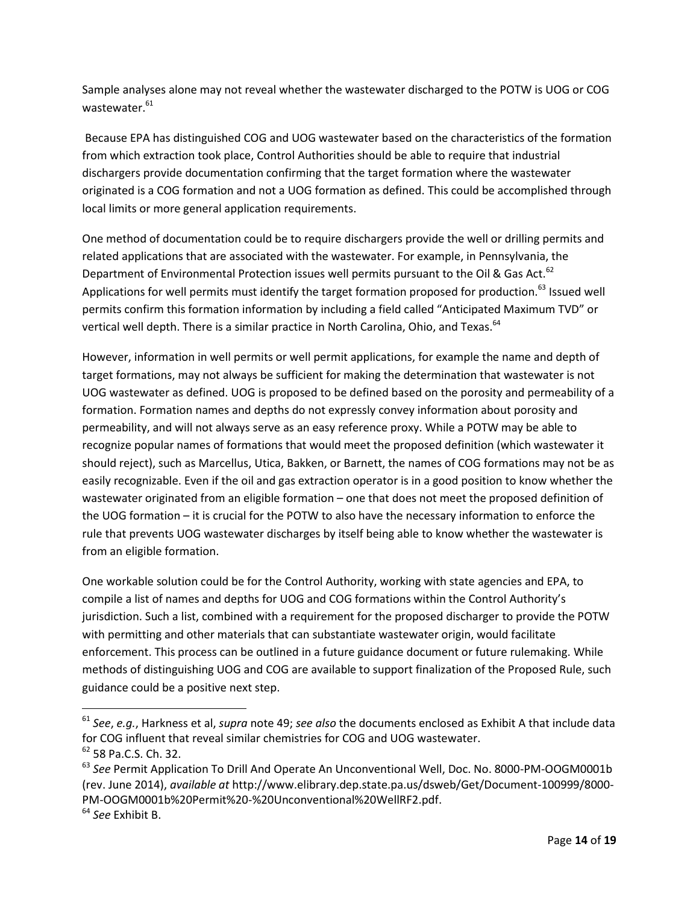Sample analyses alone may not reveal whether the wastewater discharged to the POTW is UOG or COG wastewater. 61

Because EPA has distinguished COG and UOG wastewater based on the characteristics of the formation from which extraction took place, Control Authorities should be able to require that industrial dischargers provide documentation confirming that the target formation where the wastewater originated is a COG formation and not a UOG formation as defined. This could be accomplished through local limits or more general application requirements.

One method of documentation could be to require dischargers provide the well or drilling permits and related applications that are associated with the wastewater. For example, in Pennsylvania, the Department of Environmental Protection issues well permits pursuant to the Oil & Gas Act.<sup>62</sup> Applications for well permits must identify the target formation proposed for production.<sup>63</sup> Issued well permits confirm this formation information by including a field called "Anticipated Maximum TVD" or vertical well depth. There is a similar practice in North Carolina, Ohio, and Texas.<sup>64</sup>

However, information in well permits or well permit applications, for example the name and depth of target formations, may not always be sufficient for making the determination that wastewater is not UOG wastewater as defined. UOG is proposed to be defined based on the porosity and permeability of a formation. Formation names and depths do not expressly convey information about porosity and permeability, and will not always serve as an easy reference proxy. While a POTW may be able to recognize popular names of formations that would meet the proposed definition (which wastewater it should reject), such as Marcellus, Utica, Bakken, or Barnett, the names of COG formations may not be as easily recognizable. Even if the oil and gas extraction operator is in a good position to know whether the wastewater originated from an eligible formation – one that does not meet the proposed definition of the UOG formation – it is crucial for the POTW to also have the necessary information to enforce the rule that prevents UOG wastewater discharges by itself being able to know whether the wastewater is from an eligible formation.

One workable solution could be for the Control Authority, working with state agencies and EPA, to compile a list of names and depths for UOG and COG formations within the Control Authority's jurisdiction. Such a list, combined with a requirement for the proposed discharger to provide the POTW with permitting and other materials that can substantiate wastewater origin, would facilitate enforcement. This process can be outlined in a future guidance document or future rulemaking. While methods of distinguishing UOG and COG are available to support finalization of the Proposed Rule, such guidance could be a positive next step.

<sup>61</sup> *See*, *e.g.*, Harkness et al, *supra* note [49;](#page-10-0) *see also* the documents enclosed as Exhibit A that include data for COG influent that reveal similar chemistries for COG and UOG wastewater.  $62$  58 Pa.C.S. Ch. 32.

<sup>63</sup> *See* Permit Application To Drill And Operate An Unconventional Well, Doc. No. 8000-PM-OOGM0001b (rev. June 2014), *available at* http://www.elibrary.dep.state.pa.us/dsweb/Get/Document-100999/8000- PM-OOGM0001b%20Permit%20-%20Unconventional%20WellRF2.pdf.

<sup>64</sup> *See* Exhibit B.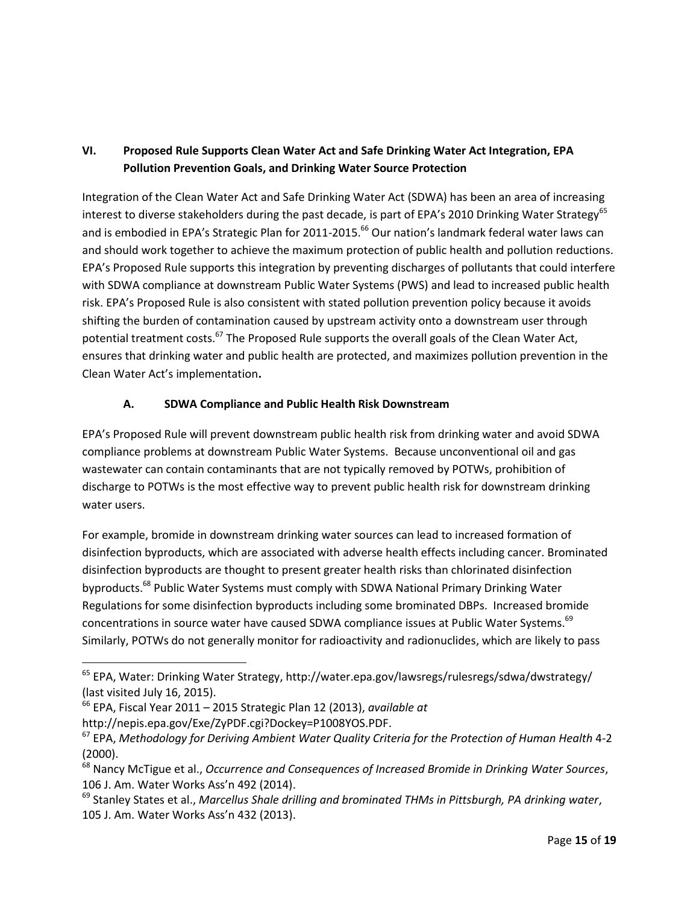# **VI. Proposed Rule Supports Clean Water Act and Safe Drinking Water Act Integration, EPA Pollution Prevention Goals, and Drinking Water Source Protection**

Integration of the Clean Water Act and Safe Drinking Water Act (SDWA) has been an area of increasing interest to diverse stakeholders during the past decade, is part of EPA's 2010 Drinking Water Strategy<sup>65</sup> and is embodied in EPA's Strategic Plan for 2011-2015.<sup>66</sup> Our nation's landmark federal water laws can and should work together to achieve the maximum protection of public health and pollution reductions. EPA's Proposed Rule supports this integration by preventing discharges of pollutants that could interfere with SDWA compliance at downstream Public Water Systems (PWS) and lead to increased public health risk. EPA's Proposed Rule is also consistent with stated pollution prevention policy because it avoids shifting the burden of contamination caused by upstream activity onto a downstream user through potential treatment costs.<sup>67</sup> The Proposed Rule supports the overall goals of the Clean Water Act, ensures that drinking water and public health are protected, and maximizes pollution prevention in the Clean Water Act's implementation**.** 

## **A. SDWA Compliance and Public Health Risk Downstream**

EPA's Proposed Rule will prevent downstream public health risk from drinking water and avoid SDWA compliance problems at downstream Public Water Systems. Because unconventional oil and gas wastewater can contain contaminants that are not typically removed by POTWs, prohibition of discharge to POTWs is the most effective way to prevent public health risk for downstream drinking water users.

For example, bromide in downstream drinking water sources can lead to increased formation of disinfection byproducts, which are associated with adverse health effects including cancer. Brominated disinfection byproducts are thought to present greater health risks than chlorinated disinfection byproducts.<sup>68</sup> Public Water Systems must comply with SDWA National Primary Drinking Water Regulations for some disinfection byproducts including some brominated DBPs. Increased bromide concentrations in source water have caused SDWA compliance issues at Public Water Systems.<sup>69</sup> Similarly, POTWs do not generally monitor for radioactivity and radionuclides, which are likely to pass

<sup>65</sup> EPA, Water: Drinking Water Strategy, http://water.epa.gov/lawsregs/rulesregs/sdwa/dwstrategy/ (last visited July 16, 2015).

<sup>66</sup> EPA, Fiscal Year 2011 – 2015 Strategic Plan 12 (2013), *available at* http://nepis.epa.gov/Exe/ZyPDF.cgi?Dockey=P1008YOS.PDF.

<sup>67</sup> EPA, *Methodology for Deriving Ambient Water Quality Criteria for the Protection of Human Health* 4-2 (2000).

<sup>68</sup> Nancy McTigue et al., *Occurrence and Consequences of Increased Bromide in Drinking Water Sources*, 106 J. Am. Water Works Ass'n 492 (2014).

<sup>69</sup> Stanley States et al., *Marcellus Shale drilling and brominated THMs in Pittsburgh, PA drinking water*, 105 J. Am. Water Works Ass'n 432 (2013).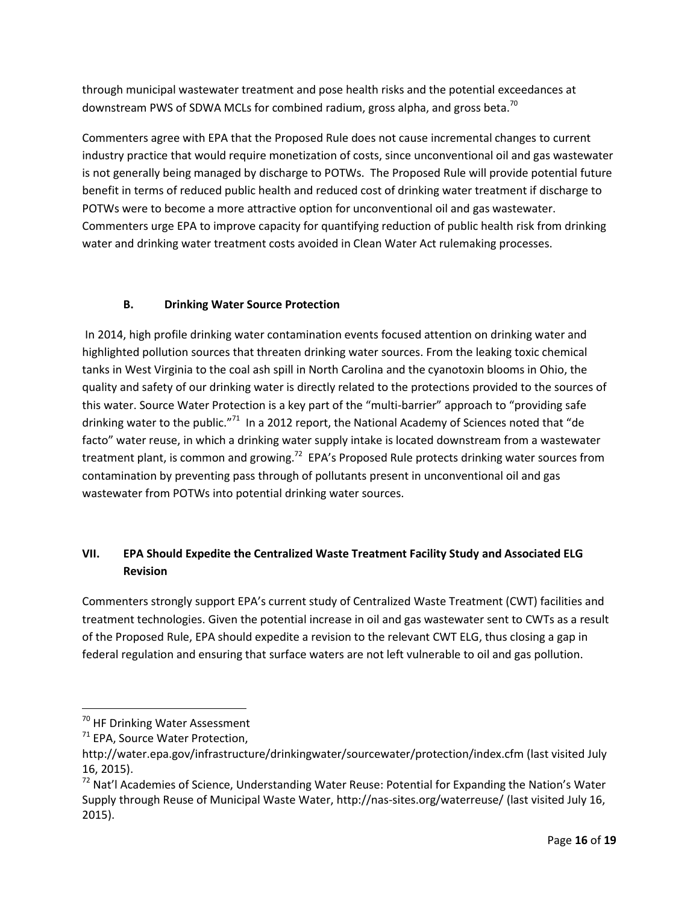through municipal wastewater treatment and pose health risks and the potential exceedances at downstream PWS of SDWA MCLs for combined radium, gross alpha, and gross beta.<sup>70</sup>

Commenters agree with EPA that the Proposed Rule does not cause incremental changes to current industry practice that would require monetization of costs, since unconventional oil and gas wastewater is not generally being managed by discharge to POTWs. The Proposed Rule will provide potential future benefit in terms of reduced public health and reduced cost of drinking water treatment if discharge to POTWs were to become a more attractive option for unconventional oil and gas wastewater. Commenters urge EPA to improve capacity for quantifying reduction of public health risk from drinking water and drinking water treatment costs avoided in Clean Water Act rulemaking processes.

## **B. Drinking Water Source Protection**

In 2014, high profile drinking water contamination events focused attention on drinking water and highlighted pollution sources that threaten drinking water sources. From the leaking toxic chemical tanks in West Virginia to the coal ash spill in North Carolina and the cyanotoxin blooms in Ohio, the quality and safety of our drinking water is directly related to the protections provided to the sources of this water. Source Water Protection is a key part of the "multi-barrier" approach to "providing safe drinking water to the public."<sup>71</sup> In a 2012 report, the National Academy of Sciences noted that "de facto" water reuse, in which a drinking water supply intake is located downstream from a wastewater treatment plant, is common and growing.<sup>72</sup> EPA's Proposed Rule protects drinking water sources from contamination by preventing pass through of pollutants present in unconventional oil and gas wastewater from POTWs into potential drinking water sources.

# **VII. EPA Should Expedite the Centralized Waste Treatment Facility Study and Associated ELG Revision**

Commenters strongly support EPA's current study of Centralized Waste Treatment (CWT) facilities and treatment technologies. Given the potential increase in oil and gas wastewater sent to CWTs as a result of the Proposed Rule, EPA should expedite a revision to the relevant CWT ELG, thus closing a gap in federal regulation and ensuring that surface waters are not left vulnerable to oil and gas pollution.

<sup>&</sup>lt;sup>70</sup> HF Drinking Water Assessment

<sup>&</sup>lt;sup>71</sup> EPA, Source Water Protection,

http://water.epa.gov/infrastructure/drinkingwater/sourcewater/protection/index.cfm (last visited July 16, 2015).

<sup>&</sup>lt;sup>72</sup> Nat'l Academies of Science, Understanding Water Reuse: Potential for Expanding the Nation's Water Supply through Reuse of Municipal Waste Water, http://nas-sites.org/waterreuse/ (last visited July 16, 2015).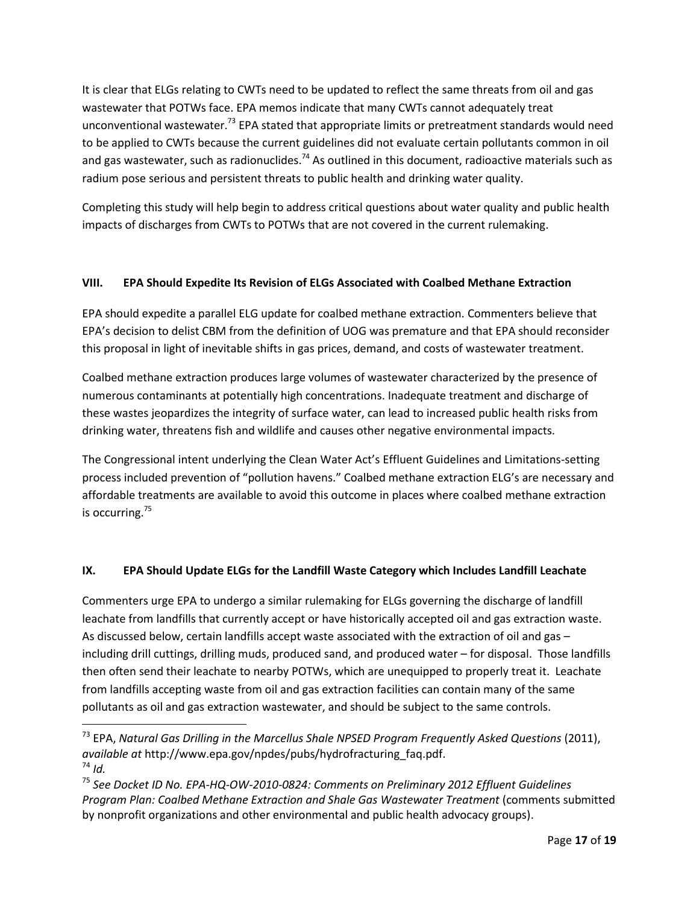It is clear that ELGs relating to CWTs need to be updated to reflect the same threats from oil and gas wastewater that POTWs face. EPA memos indicate that many CWTs cannot adequately treat unconventional wastewater.<sup>73</sup> EPA stated that appropriate limits or pretreatment standards would need to be applied to CWTs because the current guidelines did not evaluate certain pollutants common in oil and gas wastewater, such as radionuclides.<sup>74</sup> As outlined in this document, radioactive materials such as radium pose serious and persistent threats to public health and drinking water quality.

Completing this study will help begin to address critical questions about water quality and public health impacts of discharges from CWTs to POTWs that are not covered in the current rulemaking.

## **VIII. EPA Should Expedite Its Revision of ELGs Associated with Coalbed Methane Extraction**

EPA should expedite a parallel ELG update for coalbed methane extraction. Commenters believe that EPA's decision to delist CBM from the definition of UOG was premature and that EPA should reconsider this proposal in light of inevitable shifts in gas prices, demand, and costs of wastewater treatment.

Coalbed methane extraction produces large volumes of wastewater characterized by the presence of numerous contaminants at potentially high concentrations. Inadequate treatment and discharge of these wastes jeopardizes the integrity of surface water, can lead to increased public health risks from drinking water, threatens fish and wildlife and causes other negative environmental impacts.

The Congressional intent underlying the Clean Water Act's Effluent Guidelines and Limitations-setting process included prevention of "pollution havens." Coalbed methane extraction ELG's are necessary and affordable treatments are available to avoid this outcome in places where coalbed methane extraction is occurring.<sup>75</sup>

# **IX. EPA Should Update ELGs for the Landfill Waste Category which Includes Landfill Leachate**

Commenters urge EPA to undergo a similar rulemaking for ELGs governing the discharge of landfill leachate from landfills that currently accept or have historically accepted oil and gas extraction waste. As discussed below, certain landfills accept waste associated with the extraction of oil and gas – including drill cuttings, drilling muds, produced sand, and produced water – for disposal. Those landfills then often send their leachate to nearby POTWs, which are unequipped to properly treat it. Leachate from landfills accepting waste from oil and gas extraction facilities can contain many of the same pollutants as oil and gas extraction wastewater, and should be subject to the same controls.

<sup>&</sup>lt;sup>73</sup> EPA, Natural Gas Drilling in the Marcellus Shale NPSED Program Frequently Asked Questions (2011), *available at* http://www.epa.gov/npdes/pubs/hydrofracturing\_faq.pdf.  $74$  *Id.* 

<sup>75</sup> *See Docket ID No. EPA-HQ-OW-2010-0824: Comments on Preliminary 2012 Effluent Guidelines Program Plan: Coalbed Methane Extraction and Shale Gas Wastewater Treatment* (comments submitted by nonprofit organizations and other environmental and public health advocacy groups).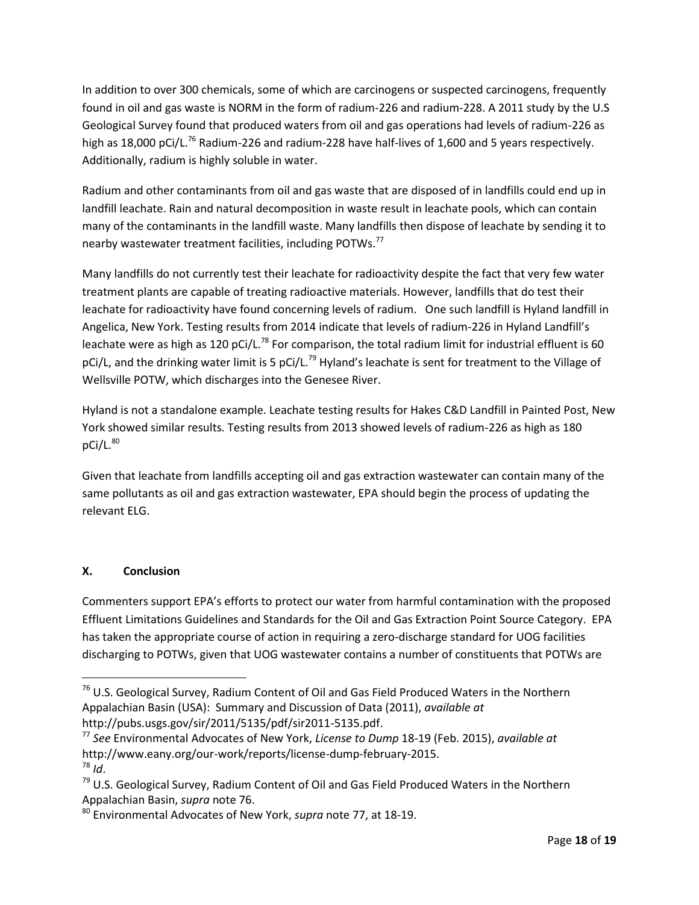In addition to over 300 chemicals, some of which are carcinogens or suspected carcinogens, frequently found in oil and gas waste is NORM in the form of radium-226 and radium-228. A 2011 study by the U.S Geological Survey found that produced waters from oil and gas operations had levels of radium-226 as high as 18,000 pCi/L.<sup>76</sup> Radium-226 and radium-228 have half-lives of 1,600 and 5 years respectively. Additionally, radium is highly soluble in water.

<span id="page-17-0"></span>Radium and other contaminants from oil and gas waste that are disposed of in landfills could end up in landfill leachate. Rain and natural decomposition in waste result in leachate pools, which can contain many of the contaminants in the landfill waste. Many landfills then dispose of leachate by sending it to nearby wastewater treatment facilities, including POTWs.<sup>77</sup>

<span id="page-17-1"></span>Many landfills do not currently test their leachate for radioactivity despite the fact that very few water treatment plants are capable of treating radioactive materials. However, landfills that do test their leachate for radioactivity have found concerning levels of radium. One such landfill is Hyland landfill in Angelica, New York. Testing results from 2014 indicate that levels of radium-226 in Hyland Landfill's leachate were as high as 120 pCi/L.<sup>78</sup> For comparison, the total radium limit for industrial effluent is 60 pCi/L, and the drinking water limit is 5 pCi/L.<sup>79</sup> Hyland's leachate is sent for treatment to the Village of Wellsville POTW, which discharges into the Genesee River.

Hyland is not a standalone example. Leachate testing results for Hakes C&D Landfill in Painted Post, New York showed similar results. Testing results from 2013 showed levels of radium-226 as high as 180  $pCi/L.<sup>80</sup>$ 

Given that leachate from landfills accepting oil and gas extraction wastewater can contain many of the same pollutants as oil and gas extraction wastewater, EPA should begin the process of updating the relevant ELG.

# **X. Conclusion**

 $\overline{a}$ 

Commenters support EPA's efforts to protect our water from harmful contamination with the proposed Effluent Limitations Guidelines and Standards for the Oil and Gas Extraction Point Source Category. EPA has taken the appropriate course of action in requiring a zero-discharge standard for UOG facilities discharging to POTWs, given that UOG wastewater contains a number of constituents that POTWs are

<sup>&</sup>lt;sup>76</sup> U.S. Geological Survey, Radium Content of Oil and Gas Field Produced Waters in the Northern Appalachian Basin (USA): Summary and Discussion of Data (2011), *available at* http://pubs.usgs.gov/sir/2011/5135/pdf/sir2011-5135.pdf.

<sup>77</sup> *See* Environmental Advocates of New York, *License to Dump* 18-19 (Feb. 2015), *available at* http://www.eany.org/our-work/reports/license-dump-february-2015.  $78$  *Id.* 

<sup>&</sup>lt;sup>79</sup> U.S. Geological Survey, Radium Content of Oil and Gas Field Produced Waters in the Northern Appalachian Basin, *supra* note [76.](#page-17-0)

<sup>80</sup> Environmental Advocates of New York, *supra* note [77,](#page-17-1) at 18-19.